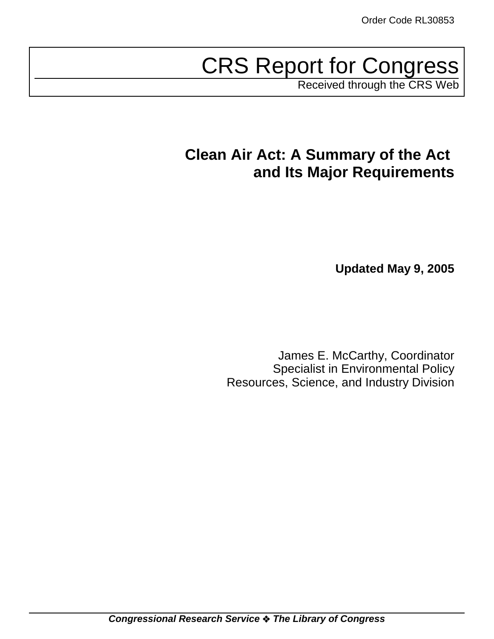# CRS Report for Congress

Received through the CRS Web

## **Clean Air Act: A Summary of the Act and Its Major Requirements**

**Updated May 9, 2005**

James E. McCarthy, Coordinator Specialist in Environmental Policy Resources, Science, and Industry Division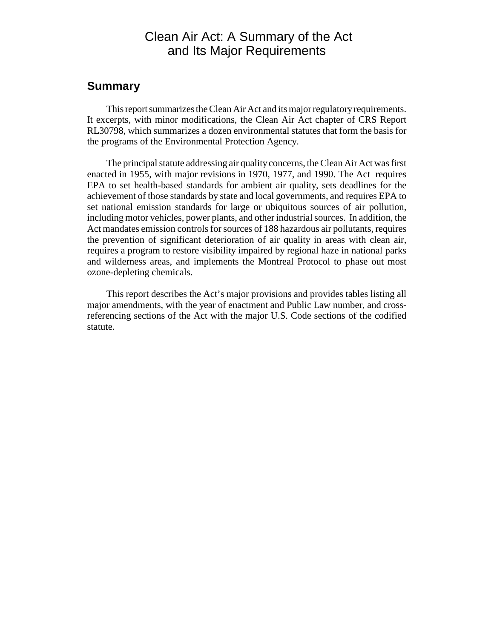## Clean Air Act: A Summary of the Act and Its Major Requirements

## **Summary**

This report summarizes the Clean Air Act and its major regulatory requirements. It excerpts, with minor modifications, the Clean Air Act chapter of CRS Report RL30798, which summarizes a dozen environmental statutes that form the basis for the programs of the Environmental Protection Agency.

The principal statute addressing air quality concerns, the Clean Air Act was first enacted in 1955, with major revisions in 1970, 1977, and 1990. The Act requires EPA to set health-based standards for ambient air quality, sets deadlines for the achievement of those standards by state and local governments, and requires EPA to set national emission standards for large or ubiquitous sources of air pollution, including motor vehicles, power plants, and other industrial sources. In addition, the Act mandates emission controls for sources of 188 hazardous air pollutants, requires the prevention of significant deterioration of air quality in areas with clean air, requires a program to restore visibility impaired by regional haze in national parks and wilderness areas, and implements the Montreal Protocol to phase out most ozone-depleting chemicals.

This report describes the Act's major provisions and provides tables listing all major amendments, with the year of enactment and Public Law number, and crossreferencing sections of the Act with the major U.S. Code sections of the codified statute.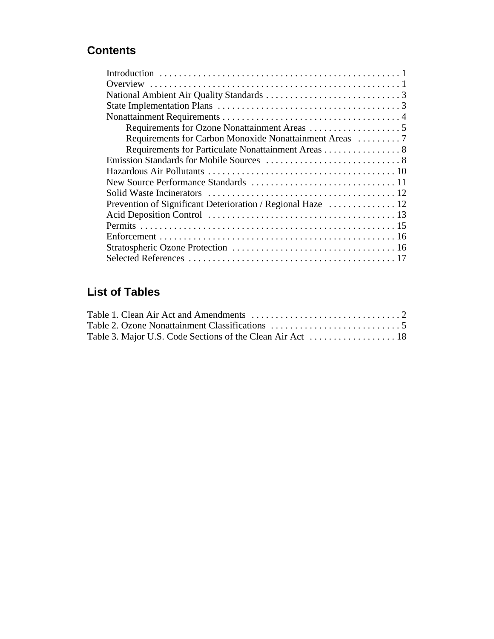## **Contents**

| Requirements for Carbon Monoxide Nonattainment Areas 7      |
|-------------------------------------------------------------|
| Requirements for Particulate Nonattainment Areas 8          |
|                                                             |
|                                                             |
|                                                             |
|                                                             |
| Prevention of Significant Deterioration / Regional Haze  12 |
|                                                             |
|                                                             |
|                                                             |
|                                                             |
|                                                             |

## **List of Tables**

| Table 1. Clean Air Act and Amendments $\dots \dots \dots \dots \dots \dots \dots \dots \dots \dots$ |  |
|-----------------------------------------------------------------------------------------------------|--|
|                                                                                                     |  |
|                                                                                                     |  |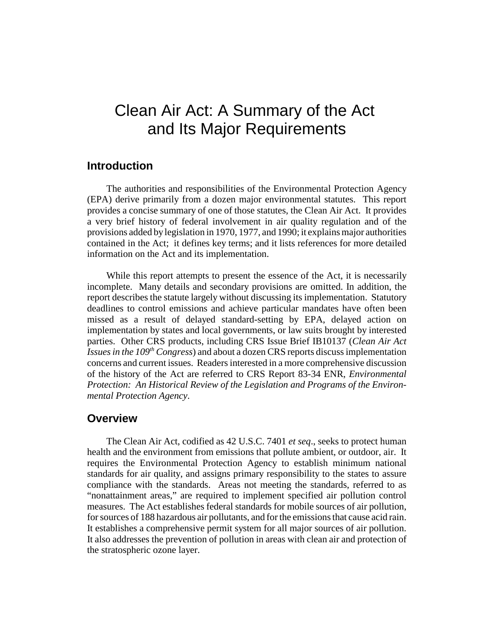## Clean Air Act: A Summary of the Act and Its Major Requirements

## **Introduction**

The authorities and responsibilities of the Environmental Protection Agency (EPA) derive primarily from a dozen major environmental statutes. This report provides a concise summary of one of those statutes, the Clean Air Act. It provides a very brief history of federal involvement in air quality regulation and of the provisions added by legislation in 1970, 1977, and 1990; it explains major authorities contained in the Act; it defines key terms; and it lists references for more detailed information on the Act and its implementation.

While this report attempts to present the essence of the Act, it is necessarily incomplete. Many details and secondary provisions are omitted. In addition, the report describes the statute largely without discussing its implementation. Statutory deadlines to control emissions and achieve particular mandates have often been missed as a result of delayed standard-setting by EPA, delayed action on implementation by states and local governments, or law suits brought by interested parties. Other CRS products, including CRS Issue Brief IB10137 (*Clean Air Act Issues in the 109th Congress*) and about a dozen CRS reports discuss implementation concerns and current issues. Readers interested in a more comprehensive discussion of the history of the Act are referred to CRS Report 83-34 ENR, *Environmental Protection: An Historical Review of the Legislation and Programs of the Environmental Protection Agency*.

### **Overview**

The Clean Air Act, codified as 42 U.S.C. 7401 *et seq*., seeks to protect human health and the environment from emissions that pollute ambient, or outdoor, air. It requires the Environmental Protection Agency to establish minimum national standards for air quality, and assigns primary responsibility to the states to assure compliance with the standards. Areas not meeting the standards, referred to as "nonattainment areas," are required to implement specified air pollution control measures. The Act establishes federal standards for mobile sources of air pollution, for sources of 188 hazardous air pollutants, and for the emissions that cause acid rain. It establishes a comprehensive permit system for all major sources of air pollution. It also addresses the prevention of pollution in areas with clean air and protection of the stratospheric ozone layer.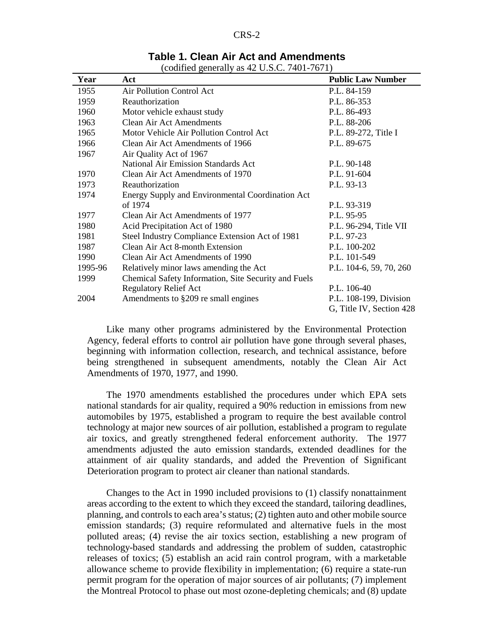| Table 1. Clean Air Act and Amendments |  |
|---------------------------------------|--|
|---------------------------------------|--|

(codified generally as 42 U.S.C. 7401-7671)

| Year    | Act                                                     | <b>Public Law Number</b> |
|---------|---------------------------------------------------------|--------------------------|
| 1955    | Air Pollution Control Act                               | P.L. 84-159              |
| 1959    | Reauthorization                                         | P.L. 86-353              |
| 1960    | Motor vehicle exhaust study                             | P.L. 86-493              |
| 1963    | <b>Clean Air Act Amendments</b>                         | P.L. 88-206              |
| 1965    | Motor Vehicle Air Pollution Control Act                 | P.L. 89-272, Title I     |
| 1966    | Clean Air Act Amendments of 1966                        | P.L. 89-675              |
| 1967    | Air Quality Act of 1967                                 |                          |
|         | <b>National Air Emission Standards Act</b>              | P.L. 90-148              |
| 1970    | Clean Air Act Amendments of 1970                        | P.L. 91-604              |
| 1973    | Reauthorization                                         | P.L. 93-13               |
| 1974    | <b>Energy Supply and Environmental Coordination Act</b> |                          |
|         | of 1974                                                 | P.L. 93-319              |
| 1977    | Clean Air Act Amendments of 1977                        | P.L. 95-95               |
| 1980    | Acid Precipitation Act of 1980                          | P.L. 96-294, Title VII   |
| 1981    | Steel Industry Compliance Extension Act of 1981         | P.L. 97-23               |
| 1987    | Clean Air Act 8-month Extension                         | P.L. 100-202             |
| 1990    | Clean Air Act Amendments of 1990                        | P.L. 101-549             |
| 1995-96 | Relatively minor laws amending the Act                  | P.L. 104-6, 59, 70, 260  |
| 1999    | Chemical Safety Information, Site Security and Fuels    |                          |
|         | <b>Regulatory Relief Act</b>                            | P.L. 106-40              |
| 2004    | Amendments to §209 re small engines                     | P.L. 108-199, Division   |
|         |                                                         | G, Title IV, Section 428 |

Like many other programs administered by the Environmental Protection Agency, federal efforts to control air pollution have gone through several phases, beginning with information collection, research, and technical assistance, before being strengthened in subsequent amendments, notably the Clean Air Act Amendments of 1970, 1977, and 1990.

The 1970 amendments established the procedures under which EPA sets national standards for air quality, required a 90% reduction in emissions from new automobiles by 1975, established a program to require the best available control technology at major new sources of air pollution, established a program to regulate air toxics, and greatly strengthened federal enforcement authority. The 1977 amendments adjusted the auto emission standards, extended deadlines for the attainment of air quality standards, and added the Prevention of Significant Deterioration program to protect air cleaner than national standards.

Changes to the Act in 1990 included provisions to (1) classify nonattainment areas according to the extent to which they exceed the standard, tailoring deadlines, planning, and controls to each area's status; (2) tighten auto and other mobile source emission standards; (3) require reformulated and alternative fuels in the most polluted areas; (4) revise the air toxics section, establishing a new program of technology-based standards and addressing the problem of sudden, catastrophic releases of toxics; (5) establish an acid rain control program, with a marketable allowance scheme to provide flexibility in implementation; (6) require a state-run permit program for the operation of major sources of air pollutants; (7) implement the Montreal Protocol to phase out most ozone-depleting chemicals; and (8) update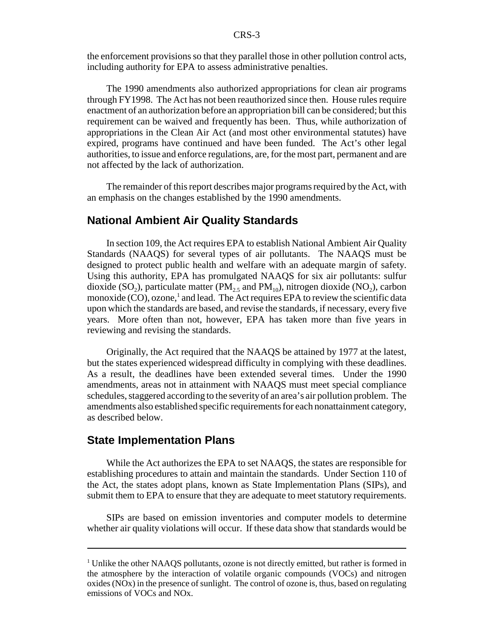the enforcement provisions so that they parallel those in other pollution control acts, including authority for EPA to assess administrative penalties.

The 1990 amendments also authorized appropriations for clean air programs through FY1998. The Act has not been reauthorized since then. House rules require enactment of an authorization before an appropriation bill can be considered; but this requirement can be waived and frequently has been. Thus, while authorization of appropriations in the Clean Air Act (and most other environmental statutes) have expired, programs have continued and have been funded. The Act's other legal authorities, to issue and enforce regulations, are, for the most part, permanent and are not affected by the lack of authorization.

The remainder of this report describes major programs required by the Act, with an emphasis on the changes established by the 1990 amendments.

### **National Ambient Air Quality Standards**

In section 109, the Act requires EPA to establish National Ambient Air Quality Standards (NAAQS) for several types of air pollutants. The NAAQS must be designed to protect public health and welfare with an adequate margin of safety. Using this authority, EPA has promulgated NAAQS for six air pollutants: sulfur dioxide (SO<sub>2</sub>), particulate matter (PM<sub>2.5</sub> and PM<sub>10</sub>), nitrogen dioxide (NO<sub>2</sub>), carbon monoxide (CO), ozone,<sup>1</sup> and lead. The Act requires EPA to review the scientific data upon which the standards are based, and revise the standards, if necessary, every five years. More often than not, however, EPA has taken more than five years in reviewing and revising the standards.

Originally, the Act required that the NAAQS be attained by 1977 at the latest, but the states experienced widespread difficulty in complying with these deadlines. As a result, the deadlines have been extended several times. Under the 1990 amendments, areas not in attainment with NAAQS must meet special compliance schedules, staggered according to the severity of an area's air pollution problem. The amendments also established specific requirements for each nonattainment category, as described below.

## **State Implementation Plans**

While the Act authorizes the EPA to set NAAQS, the states are responsible for establishing procedures to attain and maintain the standards. Under Section 110 of the Act, the states adopt plans, known as State Implementation Plans (SIPs), and submit them to EPA to ensure that they are adequate to meet statutory requirements.

SIPs are based on emission inventories and computer models to determine whether air quality violations will occur. If these data show that standards would be

<sup>&</sup>lt;sup>1</sup> Unlike the other NAAQS pollutants, ozone is not directly emitted, but rather is formed in the atmosphere by the interaction of volatile organic compounds (VOCs) and nitrogen oxides (NOx) in the presence of sunlight. The control of ozone is, thus, based on regulating emissions of VOCs and NOx.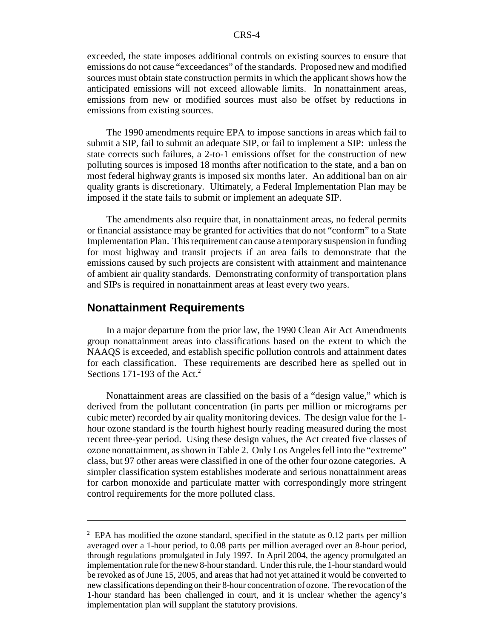exceeded, the state imposes additional controls on existing sources to ensure that emissions do not cause "exceedances" of the standards. Proposed new and modified sources must obtain state construction permits in which the applicant shows how the anticipated emissions will not exceed allowable limits. In nonattainment areas, emissions from new or modified sources must also be offset by reductions in emissions from existing sources.

The 1990 amendments require EPA to impose sanctions in areas which fail to submit a SIP, fail to submit an adequate SIP, or fail to implement a SIP: unless the state corrects such failures, a 2-to-1 emissions offset for the construction of new polluting sources is imposed 18 months after notification to the state, and a ban on most federal highway grants is imposed six months later. An additional ban on air quality grants is discretionary. Ultimately, a Federal Implementation Plan may be imposed if the state fails to submit or implement an adequate SIP.

The amendments also require that, in nonattainment areas, no federal permits or financial assistance may be granted for activities that do not "conform" to a State Implementation Plan. This requirement can cause a temporary suspension in funding for most highway and transit projects if an area fails to demonstrate that the emissions caused by such projects are consistent with attainment and maintenance of ambient air quality standards. Demonstrating conformity of transportation plans and SIPs is required in nonattainment areas at least every two years.

### **Nonattainment Requirements**

In a major departure from the prior law, the 1990 Clean Air Act Amendments group nonattainment areas into classifications based on the extent to which the NAAQS is exceeded, and establish specific pollution controls and attainment dates for each classification. These requirements are described here as spelled out in Sections 171-193 of the Act. $2$ 

Nonattainment areas are classified on the basis of a "design value," which is derived from the pollutant concentration (in parts per million or micrograms per cubic meter) recorded by air quality monitoring devices. The design value for the 1 hour ozone standard is the fourth highest hourly reading measured during the most recent three-year period. Using these design values, the Act created five classes of ozone nonattainment, as shown in Table 2. Only Los Angeles fell into the "extreme" class, but 97 other areas were classified in one of the other four ozone categories. A simpler classification system establishes moderate and serious nonattainment areas for carbon monoxide and particulate matter with correspondingly more stringent control requirements for the more polluted class.

 $2$  EPA has modified the ozone standard, specified in the statute as 0.12 parts per million averaged over a 1-hour period, to 0.08 parts per million averaged over an 8-hour period, through regulations promulgated in July 1997. In April 2004, the agency promulgated an implementation rule for the new 8-hour standard. Under this rule, the 1-hour standard would be revoked as of June 15, 2005, and areas that had not yet attained it would be converted to new classifications depending on their 8-hour concentration of ozone. The revocation of the 1-hour standard has been challenged in court, and it is unclear whether the agency's implementation plan will supplant the statutory provisions.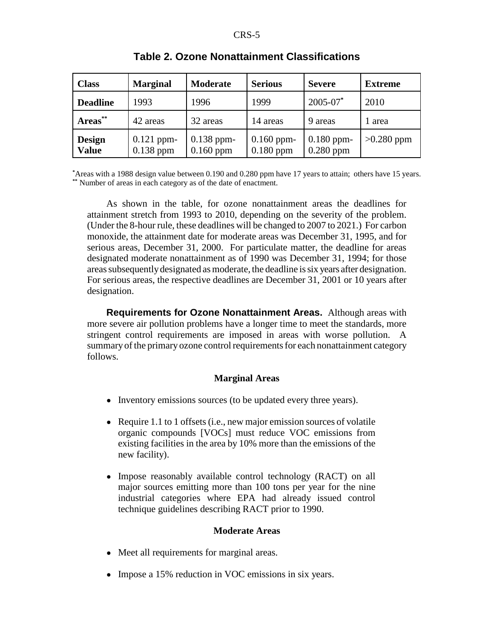| <b>Class</b>           | <b>Marginal</b>             | <b>Moderate</b>             | <b>Serious</b>              | <b>Severe</b>               | <b>Extreme</b> |
|------------------------|-----------------------------|-----------------------------|-----------------------------|-----------------------------|----------------|
| <b>Deadline</b>        | 1993                        | 1996                        | 1999                        | $2005 - 07$ *               | 2010           |
| Areas**                | 42 areas                    | 32 areas                    | 14 areas                    | 9 areas                     | 1 area         |
| Design<br><b>Value</b> | $0.121$ ppm-<br>$0.138$ ppm | $0.138$ ppm-<br>$0.160$ ppm | $0.160$ ppm-<br>$0.180$ ppm | $0.180$ ppm-<br>$0.280$ ppm | $>0.280$ ppm   |

### **Table 2. Ozone Nonattainment Classifications**

**\*** Areas with a 1988 design value between 0.190 and 0.280 ppm have 17 years to attain; others have 15 years. **\*\*** Number of areas in each category as of the date of enactment.

As shown in the table, for ozone nonattainment areas the deadlines for attainment stretch from 1993 to 2010, depending on the severity of the problem. (Under the 8-hour rule, these deadlines will be changed to 2007 to 2021.) For carbon monoxide, the attainment date for moderate areas was December 31, 1995, and for serious areas, December 31, 2000. For particulate matter, the deadline for areas designated moderate nonattainment as of 1990 was December 31, 1994; for those areas subsequently designated as moderate, the deadline is six years after designation. For serious areas, the respective deadlines are December 31, 2001 or 10 years after designation.

**Requirements for Ozone Nonattainment Areas.** Although areas with more severe air pollution problems have a longer time to meet the standards, more stringent control requirements are imposed in areas with worse pollution. A summary of the primary ozone control requirements for each nonattainment category follows.

#### **Marginal Areas**

- Inventory emissions sources (to be updated every three years).
- Require 1.1 to 1 offsets (i.e., new major emission sources of volatile organic compounds [VOCs] must reduce VOC emissions from existing facilities in the area by 10% more than the emissions of the new facility).
- Impose reasonably available control technology (RACT) on all major sources emitting more than 100 tons per year for the nine industrial categories where EPA had already issued control technique guidelines describing RACT prior to 1990.

#### **Moderate Areas**

- Meet all requirements for marginal areas.
- Impose a 15% reduction in VOC emissions in six years.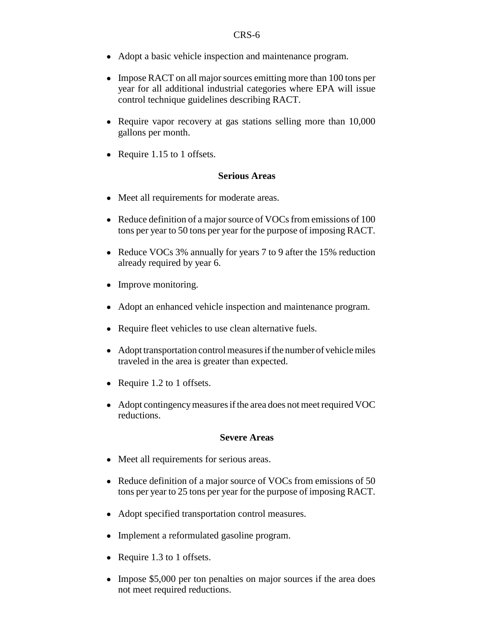- ! Adopt a basic vehicle inspection and maintenance program.
- Impose RACT on all major sources emitting more than 100 tons per year for all additional industrial categories where EPA will issue control technique guidelines describing RACT.
- Require vapor recovery at gas stations selling more than 10,000 gallons per month.
- Require 1.15 to 1 offsets.

#### **Serious Areas**

- Meet all requirements for moderate areas.
- Reduce definition of a major source of VOCs from emissions of 100 tons per year to 50 tons per year for the purpose of imposing RACT.
- Reduce VOCs 3% annually for years 7 to 9 after the 15% reduction already required by year 6.
- Improve monitoring.
- ! Adopt an enhanced vehicle inspection and maintenance program.
- ! Require fleet vehicles to use clean alternative fuels.
- ! Adopt transportation control measures if the number of vehicle miles traveled in the area is greater than expected.
- Require 1.2 to 1 offsets.
- ! Adopt contingency measures if the area does not meet required VOC reductions.

#### **Severe Areas**

- Meet all requirements for serious areas.
- Reduce definition of a major source of VOCs from emissions of 50 tons per year to 25 tons per year for the purpose of imposing RACT.
- Adopt specified transportation control measures.
- Implement a reformulated gasoline program.
- Require 1.3 to 1 offsets.
- Impose \$5,000 per ton penalties on major sources if the area does not meet required reductions.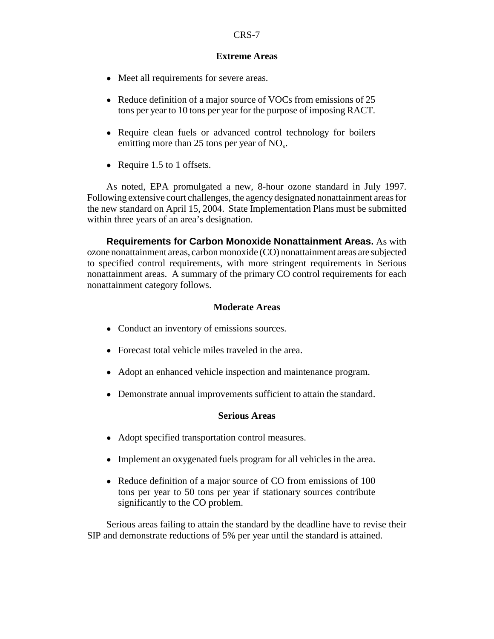#### **Extreme Areas**

- Meet all requirements for severe areas.
- Reduce definition of a major source of VOCs from emissions of 25 tons per year to 10 tons per year for the purpose of imposing RACT.
- Require clean fuels or advanced control technology for boilers emitting more than 25 tons per year of NO<sub>y</sub>.
- Require 1.5 to 1 offsets.

As noted, EPA promulgated a new, 8-hour ozone standard in July 1997. Following extensive court challenges, the agency designated nonattainment areas for the new standard on April 15, 2004. State Implementation Plans must be submitted within three years of an area's designation.

**Requirements for Carbon Monoxide Nonattainment Areas.** As with ozone nonattainment areas, carbon monoxide (CO) nonattainment areas are subjected to specified control requirements, with more stringent requirements in Serious nonattainment areas. A summary of the primary CO control requirements for each nonattainment category follows.

#### **Moderate Areas**

- Conduct an inventory of emissions sources.
- ! Forecast total vehicle miles traveled in the area.
- ! Adopt an enhanced vehicle inspection and maintenance program.
- Demonstrate annual improvements sufficient to attain the standard.

#### **Serious Areas**

- ! Adopt specified transportation control measures.
- Implement an oxygenated fuels program for all vehicles in the area.
- Reduce definition of a major source of CO from emissions of 100 tons per year to 50 tons per year if stationary sources contribute significantly to the CO problem.

Serious areas failing to attain the standard by the deadline have to revise their SIP and demonstrate reductions of 5% per year until the standard is attained.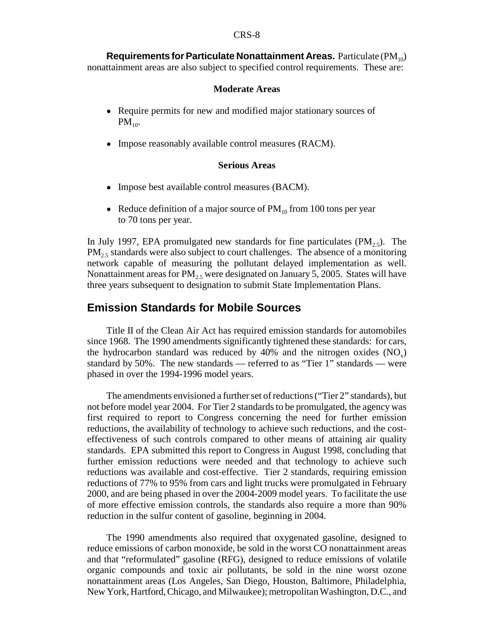**Requirements for Particulate Nonattainment Areas.** Particulate (PM<sub>10</sub>) nonattainment areas are also subject to specified control requirements. These are:

#### **Moderate Areas**

- Require permits for new and modified major stationary sources of  $PM_{10}$ .
- Impose reasonably available control measures (RACM).

#### **Serious Areas**

- Impose best available control measures (BACM).
- Reduce definition of a major source of  $PM_{10}$  from 100 tons per year to 70 tons per year.

In July 1997, EPA promulgated new standards for fine particulates  $(PM_{2,5})$ . The  $PM<sub>2.5</sub>$  standards were also subject to court challenges. The absence of a monitoring network capable of measuring the pollutant delayed implementation as well. Nonattainment areas for  $PM_{2.5}$  were designated on January 5, 2005. States will have three years subsequent to designation to submit State Implementation Plans.

## **Emission Standards for Mobile Sources**

Title II of the Clean Air Act has required emission standards for automobiles since 1968. The 1990 amendments significantly tightened these standards: for cars, the hydrocarbon standard was reduced by 40% and the nitrogen oxides  $(NO_x)$ standard by 50%. The new standards — referred to as "Tier 1" standards — were phased in over the 1994-1996 model years.

The amendments envisioned a further set of reductions ("Tier 2" standards), but not before model year 2004. For Tier 2 standards to be promulgated, the agency was first required to report to Congress concerning the need for further emission reductions, the availability of technology to achieve such reductions, and the costeffectiveness of such controls compared to other means of attaining air quality standards. EPA submitted this report to Congress in August 1998, concluding that further emission reductions were needed and that technology to achieve such reductions was available and cost-effective. Tier 2 standards, requiring emission reductions of 77% to 95% from cars and light trucks were promulgated in February 2000, and are being phased in over the 2004-2009 model years. To facilitate the use of more effective emission controls, the standards also require a more than 90% reduction in the sulfur content of gasoline, beginning in 2004.

The 1990 amendments also required that oxygenated gasoline, designed to reduce emissions of carbon monoxide, be sold in the worst CO nonattainment areas and that "reformulated" gasoline (RFG), designed to reduce emissions of volatile organic compounds and toxic air pollutants, be sold in the nine worst ozone nonattainment areas (Los Angeles, San Diego, Houston, Baltimore, Philadelphia, New York, Hartford, Chicago, and Milwaukee); metropolitan Washington, D.C., and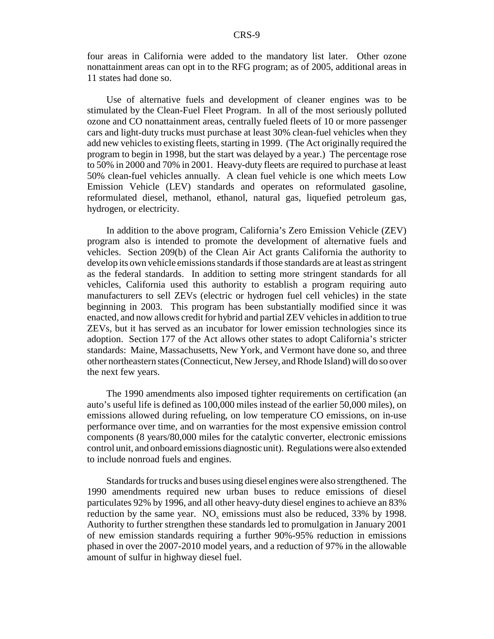four areas in California were added to the mandatory list later. Other ozone nonattainment areas can opt in to the RFG program; as of 2005, additional areas in 11 states had done so.

Use of alternative fuels and development of cleaner engines was to be stimulated by the Clean-Fuel Fleet Program. In all of the most seriously polluted ozone and CO nonattainment areas, centrally fueled fleets of 10 or more passenger cars and light-duty trucks must purchase at least 30% clean-fuel vehicles when they add new vehicles to existing fleets, starting in 1999. (The Act originally required the program to begin in 1998, but the start was delayed by a year.) The percentage rose to 50% in 2000 and 70% in 2001. Heavy-duty fleets are required to purchase at least 50% clean-fuel vehicles annually. A clean fuel vehicle is one which meets Low Emission Vehicle (LEV) standards and operates on reformulated gasoline, reformulated diesel, methanol, ethanol, natural gas, liquefied petroleum gas, hydrogen, or electricity.

In addition to the above program, California's Zero Emission Vehicle (ZEV) program also is intended to promote the development of alternative fuels and vehicles. Section 209(b) of the Clean Air Act grants California the authority to develop its own vehicle emissions standards if those standards are at least as stringent as the federal standards. In addition to setting more stringent standards for all vehicles, California used this authority to establish a program requiring auto manufacturers to sell ZEVs (electric or hydrogen fuel cell vehicles) in the state beginning in 2003. This program has been substantially modified since it was enacted, and now allows credit for hybrid and partial ZEV vehicles in addition to true ZEVs, but it has served as an incubator for lower emission technologies since its adoption. Section 177 of the Act allows other states to adopt California's stricter standards: Maine, Massachusetts, New York, and Vermont have done so, and three other northeastern states (Connecticut, New Jersey, and Rhode Island) will do so over the next few years.

The 1990 amendments also imposed tighter requirements on certification (an auto's useful life is defined as 100,000 miles instead of the earlier 50,000 miles), on emissions allowed during refueling, on low temperature CO emissions, on in-use performance over time, and on warranties for the most expensive emission control components (8 years/80,000 miles for the catalytic converter, electronic emissions control unit, and onboard emissions diagnostic unit). Regulations were also extended to include nonroad fuels and engines.

Standards for trucks and buses using diesel engines were also strengthened. The 1990 amendments required new urban buses to reduce emissions of diesel particulates 92% by 1996, and all other heavy-duty diesel engines to achieve an 83% reduction by the same year.  $NO_x$  emissions must also be reduced, 33% by 1998. Authority to further strengthen these standards led to promulgation in January 2001 of new emission standards requiring a further 90%-95% reduction in emissions phased in over the 2007-2010 model years, and a reduction of 97% in the allowable amount of sulfur in highway diesel fuel.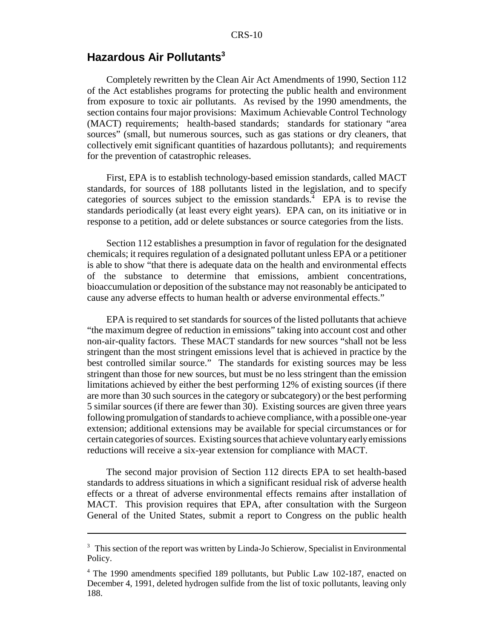## **Hazardous Air Pollutants3**

Completely rewritten by the Clean Air Act Amendments of 1990, Section 112 of the Act establishes programs for protecting the public health and environment from exposure to toxic air pollutants. As revised by the 1990 amendments, the section contains four major provisions: Maximum Achievable Control Technology (MACT) requirements; health-based standards; standards for stationary "area sources" (small, but numerous sources, such as gas stations or dry cleaners, that collectively emit significant quantities of hazardous pollutants); and requirements for the prevention of catastrophic releases.

First, EPA is to establish technology-based emission standards, called MACT standards, for sources of 188 pollutants listed in the legislation, and to specify categories of sources subject to the emission standards.<sup>4</sup> EPA is to revise the standards periodically (at least every eight years). EPA can, on its initiative or in response to a petition, add or delete substances or source categories from the lists.

Section 112 establishes a presumption in favor of regulation for the designated chemicals; it requires regulation of a designated pollutant unless EPA or a petitioner is able to show "that there is adequate data on the health and environmental effects of the substance to determine that emissions, ambient concentrations, bioaccumulation or deposition of the substance may not reasonably be anticipated to cause any adverse effects to human health or adverse environmental effects."

EPA is required to set standards for sources of the listed pollutants that achieve "the maximum degree of reduction in emissions" taking into account cost and other non-air-quality factors. These MACT standards for new sources "shall not be less stringent than the most stringent emissions level that is achieved in practice by the best controlled similar source." The standards for existing sources may be less stringent than those for new sources, but must be no less stringent than the emission limitations achieved by either the best performing 12% of existing sources (if there are more than 30 such sources in the category or subcategory) or the best performing 5 similar sources (if there are fewer than 30). Existing sources are given three years following promulgation of standards to achieve compliance, with a possible one-year extension; additional extensions may be available for special circumstances or for certain categories of sources. Existing sources that achieve voluntary early emissions reductions will receive a six-year extension for compliance with MACT.

The second major provision of Section 112 directs EPA to set health-based standards to address situations in which a significant residual risk of adverse health effects or a threat of adverse environmental effects remains after installation of MACT. This provision requires that EPA, after consultation with the Surgeon General of the United States, submit a report to Congress on the public health

<sup>&</sup>lt;sup>3</sup> This section of the report was written by Linda-Jo Schierow, Specialist in Environmental Policy.

<sup>4</sup> The 1990 amendments specified 189 pollutants, but Public Law 102-187, enacted on December 4, 1991, deleted hydrogen sulfide from the list of toxic pollutants, leaving only 188.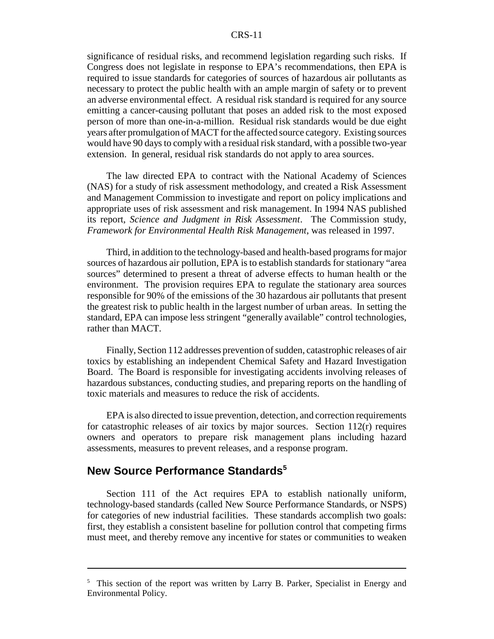#### CRS-11

significance of residual risks, and recommend legislation regarding such risks. If Congress does not legislate in response to EPA's recommendations, then EPA is required to issue standards for categories of sources of hazardous air pollutants as necessary to protect the public health with an ample margin of safety or to prevent an adverse environmental effect. A residual risk standard is required for any source emitting a cancer-causing pollutant that poses an added risk to the most exposed person of more than one-in-a-million. Residual risk standards would be due eight years after promulgation of MACT for the affected source category. Existing sources would have 90 days to comply with a residual risk standard, with a possible two-year extension. In general, residual risk standards do not apply to area sources.

The law directed EPA to contract with the National Academy of Sciences (NAS) for a study of risk assessment methodology, and created a Risk Assessment and Management Commission to investigate and report on policy implications and appropriate uses of risk assessment and risk management. In 1994 NAS published its report, *Science and Judgment in Risk Assessment*. The Commission study, *Framework for Environmental Health Risk Management*, was released in 1997.

Third, in addition to the technology-based and health-based programs for major sources of hazardous air pollution, EPA is to establish standards for stationary "area sources" determined to present a threat of adverse effects to human health or the environment. The provision requires EPA to regulate the stationary area sources responsible for 90% of the emissions of the 30 hazardous air pollutants that present the greatest risk to public health in the largest number of urban areas. In setting the standard, EPA can impose less stringent "generally available" control technologies, rather than MACT.

Finally, Section 112 addresses prevention of sudden, catastrophic releases of air toxics by establishing an independent Chemical Safety and Hazard Investigation Board. The Board is responsible for investigating accidents involving releases of hazardous substances, conducting studies, and preparing reports on the handling of toxic materials and measures to reduce the risk of accidents.

EPA is also directed to issue prevention, detection, and correction requirements for catastrophic releases of air toxics by major sources. Section 112(r) requires owners and operators to prepare risk management plans including hazard assessments, measures to prevent releases, and a response program.

## **New Source Performance Standards<sup>5</sup>**

Section 111 of the Act requires EPA to establish nationally uniform, technology-based standards (called New Source Performance Standards, or NSPS) for categories of new industrial facilities. These standards accomplish two goals: first, they establish a consistent baseline for pollution control that competing firms must meet, and thereby remove any incentive for states or communities to weaken

<sup>&</sup>lt;sup>5</sup> This section of the report was written by Larry B. Parker, Specialist in Energy and Environmental Policy.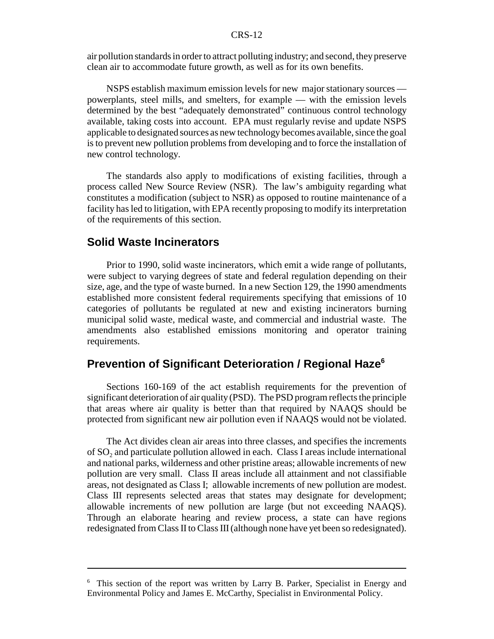#### CRS-12

air pollution standards in order to attract polluting industry; and second, they preserve clean air to accommodate future growth, as well as for its own benefits.

NSPS establish maximum emission levels for new major stationary sources powerplants, steel mills, and smelters, for example — with the emission levels determined by the best "adequately demonstrated" continuous control technology available, taking costs into account. EPA must regularly revise and update NSPS applicable to designated sources as new technology becomes available, since the goal is to prevent new pollution problems from developing and to force the installation of new control technology.

The standards also apply to modifications of existing facilities, through a process called New Source Review (NSR). The law's ambiguity regarding what constitutes a modification (subject to NSR) as opposed to routine maintenance of a facility has led to litigation, with EPA recently proposing to modify its interpretation of the requirements of this section.

### **Solid Waste Incinerators**

Prior to 1990, solid waste incinerators, which emit a wide range of pollutants, were subject to varying degrees of state and federal regulation depending on their size, age, and the type of waste burned. In a new Section 129, the 1990 amendments established more consistent federal requirements specifying that emissions of 10 categories of pollutants be regulated at new and existing incinerators burning municipal solid waste, medical waste, and commercial and industrial waste. The amendments also established emissions monitoring and operator training requirements.

## **Prevention of Significant Deterioration / Regional Haze6**

Sections 160-169 of the act establish requirements for the prevention of significant deterioration of air quality (PSD). The PSD program reflects the principle that areas where air quality is better than that required by NAAQS should be protected from significant new air pollution even if NAAQS would not be violated.

The Act divides clean air areas into three classes, and specifies the increments of SO<sub>2</sub> and particulate pollution allowed in each. Class I areas include international and national parks, wilderness and other pristine areas; allowable increments of new pollution are very small. Class II areas include all attainment and not classifiable areas, not designated as Class I; allowable increments of new pollution are modest. Class III represents selected areas that states may designate for development; allowable increments of new pollution are large (but not exceeding NAAQS). Through an elaborate hearing and review process, a state can have regions redesignated from Class II to Class III (although none have yet been so redesignated).

<sup>&</sup>lt;sup>6</sup> This section of the report was written by Larry B. Parker, Specialist in Energy and Environmental Policy and James E. McCarthy, Specialist in Environmental Policy.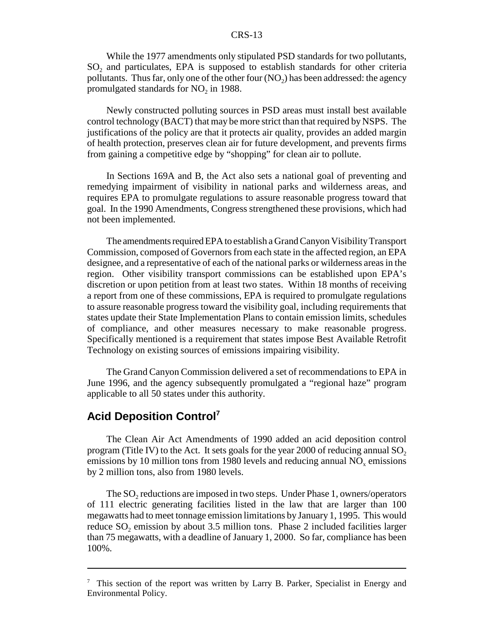While the 1977 amendments only stipulated PSD standards for two pollutants, SO<sub>2</sub> and particulates, EPA is supposed to establish standards for other criteria pollutants. Thus far, only one of the other four  $(NO<sub>2</sub>)$  has been addressed: the agency promulgated standards for  $NO<sub>2</sub>$  in 1988.

Newly constructed polluting sources in PSD areas must install best available control technology (BACT) that may be more strict than that required by NSPS. The justifications of the policy are that it protects air quality, provides an added margin of health protection, preserves clean air for future development, and prevents firms from gaining a competitive edge by "shopping" for clean air to pollute.

In Sections 169A and B, the Act also sets a national goal of preventing and remedying impairment of visibility in national parks and wilderness areas, and requires EPA to promulgate regulations to assure reasonable progress toward that goal. In the 1990 Amendments, Congress strengthened these provisions, which had not been implemented.

The amendments required EPA to establish a Grand Canyon Visibility Transport Commission, composed of Governors from each state in the affected region, an EPA designee, and a representative of each of the national parks or wilderness areas in the region. Other visibility transport commissions can be established upon EPA's discretion or upon petition from at least two states. Within 18 months of receiving a report from one of these commissions, EPA is required to promulgate regulations to assure reasonable progress toward the visibility goal, including requirements that states update their State Implementation Plans to contain emission limits, schedules of compliance, and other measures necessary to make reasonable progress. Specifically mentioned is a requirement that states impose Best Available Retrofit Technology on existing sources of emissions impairing visibility.

The Grand Canyon Commission delivered a set of recommendations to EPA in June 1996, and the agency subsequently promulgated a "regional haze" program applicable to all 50 states under this authority.

## **Acid Deposition Control<sup>7</sup>**

The Clean Air Act Amendments of 1990 added an acid deposition control program (Title IV) to the Act. It sets goals for the year 2000 of reducing annual  $SO<sub>2</sub>$ emissions by 10 million tons from 1980 levels and reducing annual  $NO<sub>x</sub>$  emissions by 2 million tons, also from 1980 levels.

The SO<sub>2</sub> reductions are imposed in two steps. Under Phase 1, owners/operators of 111 electric generating facilities listed in the law that are larger than 100 megawatts had to meet tonnage emission limitations by January 1, 1995. This would reduce  $SO<sub>2</sub>$  emission by about 3.5 million tons. Phase 2 included facilities larger than 75 megawatts, with a deadline of January 1, 2000. So far, compliance has been 100%.

 $7$  This section of the report was written by Larry B. Parker, Specialist in Energy and Environmental Policy.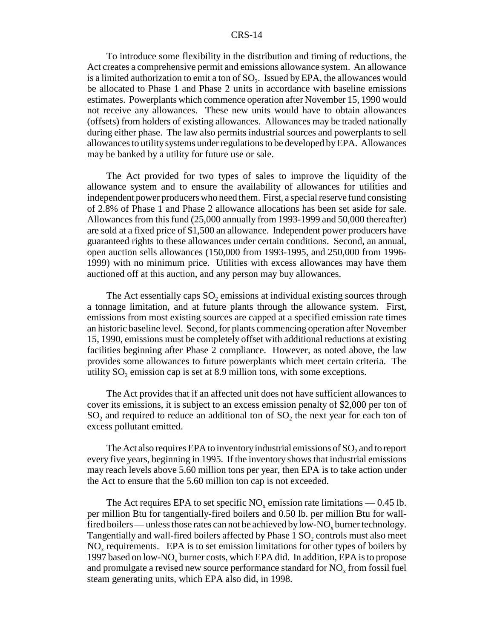#### CRS-14

To introduce some flexibility in the distribution and timing of reductions, the Act creates a comprehensive permit and emissions allowance system. An allowance is a limited authorization to emit a ton of SO<sub>2</sub>. Issued by EPA, the allowances would be allocated to Phase 1 and Phase 2 units in accordance with baseline emissions estimates. Powerplants which commence operation after November 15, 1990 would not receive any allowances. These new units would have to obtain allowances (offsets) from holders of existing allowances. Allowances may be traded nationally during either phase. The law also permits industrial sources and powerplants to sell allowances to utility systems under regulations to be developed by EPA. Allowances may be banked by a utility for future use or sale.

The Act provided for two types of sales to improve the liquidity of the allowance system and to ensure the availability of allowances for utilities and independent power producers who need them. First, a special reserve fund consisting of 2.8% of Phase 1 and Phase 2 allowance allocations has been set aside for sale. Allowances from this fund (25,000 annually from 1993-1999 and 50,000 thereafter) are sold at a fixed price of \$1,500 an allowance. Independent power producers have guaranteed rights to these allowances under certain conditions. Second, an annual, open auction sells allowances (150,000 from 1993-1995, and 250,000 from 1996- 1999) with no minimum price. Utilities with excess allowances may have them auctioned off at this auction, and any person may buy allowances.

The Act essentially caps  $SO_2$  emissions at individual existing sources through a tonnage limitation, and at future plants through the allowance system. First, emissions from most existing sources are capped at a specified emission rate times an historic baseline level. Second, for plants commencing operation after November 15, 1990, emissions must be completely offset with additional reductions at existing facilities beginning after Phase 2 compliance. However, as noted above, the law provides some allowances to future powerplants which meet certain criteria. The utility  $SO_2$  emission cap is set at 8.9 million tons, with some exceptions.

The Act provides that if an affected unit does not have sufficient allowances to cover its emissions, it is subject to an excess emission penalty of \$2,000 per ton of  $SO_2$  and required to reduce an additional ton of  $SO_2$  the next year for each ton of excess pollutant emitted.

The Act also requires EPA to inventory industrial emissions of  $SO<sub>2</sub>$  and to report every five years, beginning in 1995. If the inventory shows that industrial emissions may reach levels above 5.60 million tons per year, then EPA is to take action under the Act to ensure that the 5.60 million ton cap is not exceeded.

The Act requires EPA to set specific  $NO_x$  emission rate limitations — 0.45 lb. per million Btu for tangentially-fired boilers and 0.50 lb. per million Btu for wallfired boilers — unless those rates can not be achieved by low-NO<sub>x</sub> burner technology. Tangentially and wall-fired boilers affected by Phase 1 SO<sub>2</sub> controls must also meet NO<sub>x</sub> requirements. EPA is to set emission limitations for other types of boilers by 1997 based on low-NO<sub>x</sub> burner costs, which EPA did. In addition, EPA is to propose and promulgate a revised new source performance standard for  $NO<sub>x</sub>$  from fossil fuel steam generating units, which EPA also did, in 1998.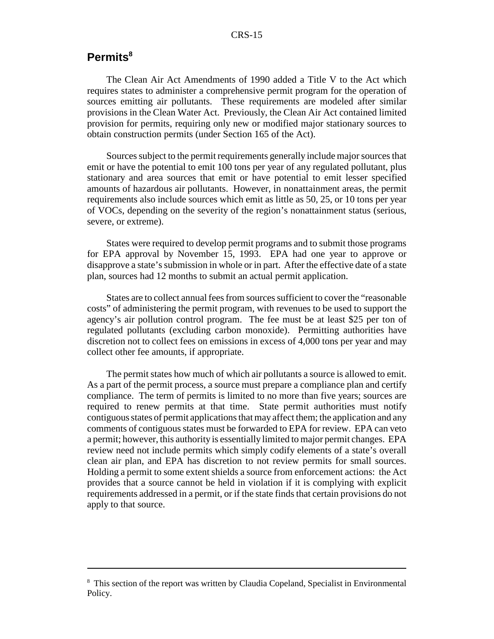## **Permits8**

The Clean Air Act Amendments of 1990 added a Title V to the Act which requires states to administer a comprehensive permit program for the operation of sources emitting air pollutants. These requirements are modeled after similar provisions in the Clean Water Act. Previously, the Clean Air Act contained limited provision for permits, requiring only new or modified major stationary sources to obtain construction permits (under Section 165 of the Act).

Sources subject to the permit requirements generally include major sources that emit or have the potential to emit 100 tons per year of any regulated pollutant, plus stationary and area sources that emit or have potential to emit lesser specified amounts of hazardous air pollutants. However, in nonattainment areas, the permit requirements also include sources which emit as little as 50, 25, or 10 tons per year of VOCs, depending on the severity of the region's nonattainment status (serious, severe, or extreme).

States were required to develop permit programs and to submit those programs for EPA approval by November 15, 1993. EPA had one year to approve or disapprove a state's submission in whole or in part. After the effective date of a state plan, sources had 12 months to submit an actual permit application.

States are to collect annual fees from sources sufficient to cover the "reasonable costs" of administering the permit program, with revenues to be used to support the agency's air pollution control program. The fee must be at least \$25 per ton of regulated pollutants (excluding carbon monoxide). Permitting authorities have discretion not to collect fees on emissions in excess of 4,000 tons per year and may collect other fee amounts, if appropriate.

The permit states how much of which air pollutants a source is allowed to emit. As a part of the permit process, a source must prepare a compliance plan and certify compliance. The term of permits is limited to no more than five years; sources are required to renew permits at that time. State permit authorities must notify contiguous states of permit applications that may affect them; the application and any comments of contiguous states must be forwarded to EPA for review. EPA can veto a permit; however, this authority is essentially limited to major permit changes. EPA review need not include permits which simply codify elements of a state's overall clean air plan, and EPA has discretion to not review permits for small sources. Holding a permit to some extent shields a source from enforcement actions: the Act provides that a source cannot be held in violation if it is complying with explicit requirements addressed in a permit, or if the state finds that certain provisions do not apply to that source.

<sup>&</sup>lt;sup>8</sup> This section of the report was written by Claudia Copeland, Specialist in Environmental Policy.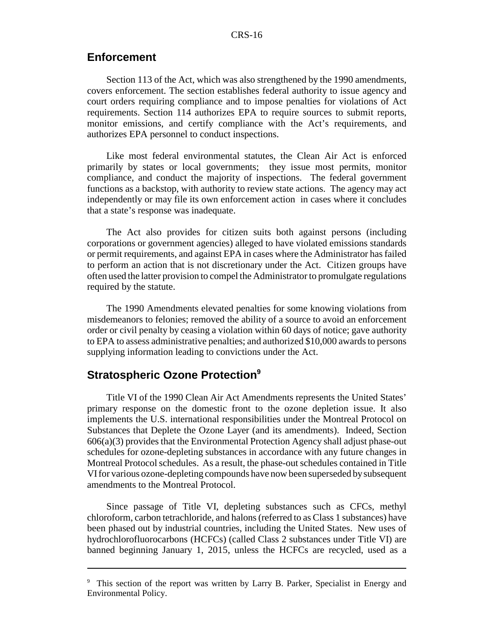## **Enforcement**

Section 113 of the Act, which was also strengthened by the 1990 amendments, covers enforcement. The section establishes federal authority to issue agency and court orders requiring compliance and to impose penalties for violations of Act requirements. Section 114 authorizes EPA to require sources to submit reports, monitor emissions, and certify compliance with the Act's requirements, and authorizes EPA personnel to conduct inspections.

Like most federal environmental statutes, the Clean Air Act is enforced primarily by states or local governments; they issue most permits, monitor compliance, and conduct the majority of inspections. The federal government functions as a backstop, with authority to review state actions. The agency may act independently or may file its own enforcement action in cases where it concludes that a state's response was inadequate.

The Act also provides for citizen suits both against persons (including corporations or government agencies) alleged to have violated emissions standards or permit requirements, and against EPA in cases where the Administrator has failed to perform an action that is not discretionary under the Act. Citizen groups have often used the latter provision to compel the Administrator to promulgate regulations required by the statute.

The 1990 Amendments elevated penalties for some knowing violations from misdemeanors to felonies; removed the ability of a source to avoid an enforcement order or civil penalty by ceasing a violation within 60 days of notice; gave authority to EPA to assess administrative penalties; and authorized \$10,000 awards to persons supplying information leading to convictions under the Act.

## **Stratospheric Ozone Protection9**

Title VI of the 1990 Clean Air Act Amendments represents the United States' primary response on the domestic front to the ozone depletion issue. It also implements the U.S. international responsibilities under the Montreal Protocol on Substances that Deplete the Ozone Layer (and its amendments). Indeed, Section  $606(a)(3)$  provides that the Environmental Protection Agency shall adjust phase-out schedules for ozone-depleting substances in accordance with any future changes in Montreal Protocol schedules. As a result, the phase-out schedules contained in Title VI for various ozone-depleting compounds have now been superseded by subsequent amendments to the Montreal Protocol.

Since passage of Title VI, depleting substances such as CFCs, methyl chloroform, carbon tetrachloride, and halons (referred to as Class 1 substances) have been phased out by industrial countries, including the United States. New uses of hydrochlorofluorocarbons (HCFCs) (called Class 2 substances under Title VI) are banned beginning January 1, 2015, unless the HCFCs are recycled, used as a

<sup>&</sup>lt;sup>9</sup> This section of the report was written by Larry B. Parker, Specialist in Energy and Environmental Policy.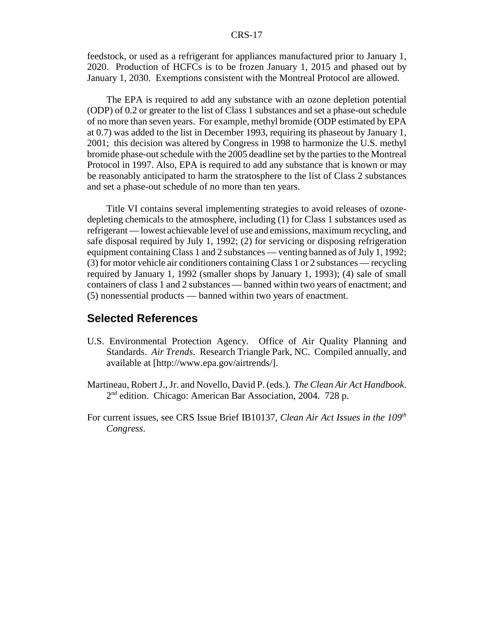#### CRS-17

feedstock, or used as a refrigerant for appliances manufactured prior to January 1, 2020. Production of HCFCs is to be frozen January 1, 2015 and phased out by January 1, 2030. Exemptions consistent with the Montreal Protocol are allowed.

The EPA is required to add any substance with an ozone depletion potential (ODP) of 0.2 or greater to the list of Class 1 substances and set a phase-out schedule of no more than seven years. For example, methyl bromide (ODP estimated by EPA at 0.7) was added to the list in December 1993, requiring its phaseout by January 1, 2001; this decision was altered by Congress in 1998 to harmonize the U.S. methyl bromide phase-out schedule with the 2005 deadline set by the parties to the Montreal Protocol in 1997. Also, EPA is required to add any substance that is known or may be reasonably anticipated to harm the stratosphere to the list of Class 2 substances and set a phase-out schedule of no more than ten years.

Title VI contains several implementing strategies to avoid releases of ozonedepleting chemicals to the atmosphere, including (1) for Class 1 substances used as refrigerant — lowest achievable level of use and emissions, maximum recycling, and safe disposal required by July 1, 1992; (2) for servicing or disposing refrigeration equipment containing Class 1 and 2 substances — venting banned as of July 1, 1992; (3) for motor vehicle air conditioners containing Class 1 or 2 substances — recycling required by January 1, 1992 (smaller shops by January 1, 1993); (4) sale of small containers of class 1 and 2 substances — banned within two years of enactment; and (5) nonessential products — banned within two years of enactment.

## **Selected References**

- U.S. Environmental Protection Agency. Office of Air Quality Planning and Standards. *Air Trends*. Research Triangle Park, NC. Compiled annually, and available at [http://www.epa.gov/airtrends/].
- Martineau, Robert J., Jr. and Novello, David P. (eds.). *The Clean Air Act Handbook*. 2<sup>nd</sup> edition. Chicago: American Bar Association, 2004. 728 p.
- For current issues, see CRS Issue Brief IB10137, *Clean Air Act Issues in the 109th Congress*.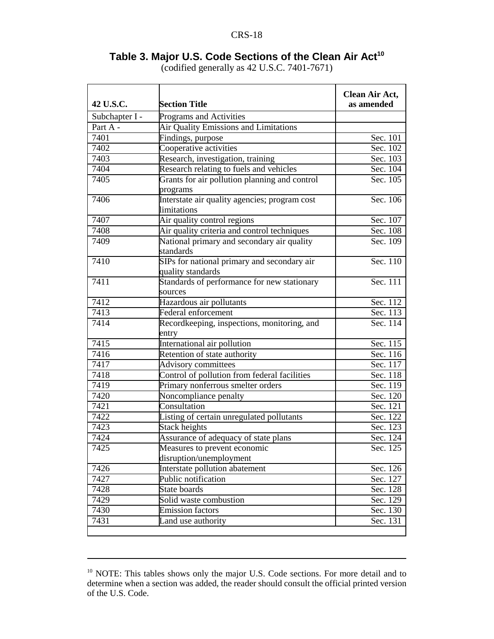## Table 3. Major U.S. Code Sections of the Clean Air Act<sup>10</sup>

(codified generally as 42 U.S.C. 7401-7671)

| 42 U.S.C.      | <b>Section Title</b>                                             | Clean Air Act,<br>as amended |
|----------------|------------------------------------------------------------------|------------------------------|
| Subchapter I - | Programs and Activities                                          |                              |
| Part A -       | Air Quality Emissions and Limitations                            |                              |
| 7401           | Findings, purpose                                                | Sec. 101                     |
| 7402           | Cooperative activities                                           | Sec. 102                     |
| 7403           | Research, investigation, training                                | Sec. 103                     |
| 7404           | Research relating to fuels and vehicles                          | Sec. 104                     |
| 7405           | Grants for air pollution planning and control<br>programs        | Sec. 105                     |
| 7406           | Interstate air quality agencies; program cost<br>limitations     | Sec. 106                     |
| 7407           | Air quality control regions                                      | Sec. 107                     |
| 7408           | Air quality criteria and control techniques                      | Sec. 108                     |
| 7409           | National primary and secondary air quality<br>standards          | Sec. 109                     |
| 7410           | SIPs for national primary and secondary air<br>quality standards | Sec. 110                     |
| 7411           | Standards of performance for new stationary<br>sources           | Sec. 111                     |
| 7412           | Hazardous air pollutants                                         | Sec. 112                     |
| 7413           | Federal enforcement                                              | Sec. 113                     |
| 7414           | Recordkeeping, inspections, monitoring, and<br>entry             | Sec. 114                     |
| 7415           | International air pollution                                      | Sec. 115                     |
| 7416           | Retention of state authority                                     | Sec. 116                     |
| 7417           | Advisory committees                                              | Sec. 117                     |
| 7418           | Control of pollution from federal facilities                     | Sec. 118                     |
| 7419           | Primary nonferrous smelter orders                                | Sec. 119                     |
| 7420           | Noncompliance penalty                                            | Sec. 120                     |
| 7421           | Consultation                                                     | Sec. 121                     |
| 7422           | Listing of certain unregulated pollutants                        | Sec. 122                     |
| 7423           | Stack heights                                                    | Sec. 123                     |
| 7424           | Assurance of adequacy of state plans                             | Sec. 124                     |
| 7425           | Measures to prevent economic<br>disruption/unemployment          | Sec. 125                     |
| 7426           | Interstate pollution abatement                                   | Sec. 126                     |
| 7427           | Public notification                                              | Sec. 127                     |
| 7428           | State boards                                                     | Sec. 128                     |
| 7429           | Solid waste combustion                                           | Sec. 129                     |
| 7430           | <b>Emission factors</b>                                          | Sec. 130                     |
| 7431           | Land use authority                                               | Sec. 131                     |
|                |                                                                  |                              |

<sup>&</sup>lt;sup>10</sup> NOTE: This tables shows only the major U.S. Code sections. For more detail and to determine when a section was added, the reader should consult the official printed version of the U.S. Code.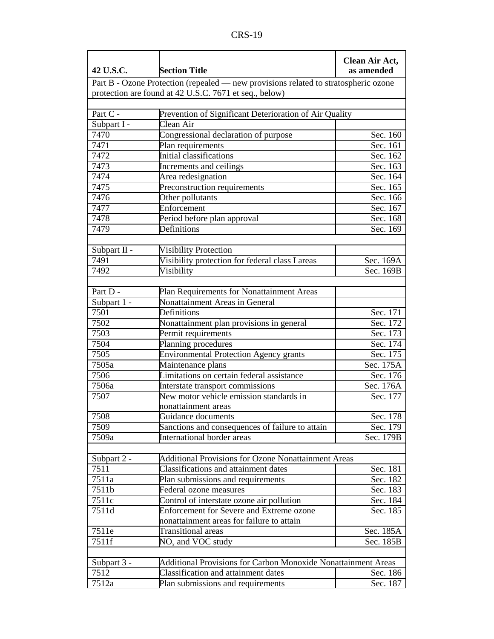| 42 U.S.C.           | <b>Section Title</b>                                                                | Clean Air Act,<br>as amended |
|---------------------|-------------------------------------------------------------------------------------|------------------------------|
|                     | Part B - Ozone Protection (repealed — new provisions related to stratospheric ozone |                              |
|                     | protection are found at 42 U.S.C. 7671 et seq., below)                              |                              |
|                     |                                                                                     |                              |
| Part C -            | Prevention of Significant Deterioration of Air Quality                              |                              |
| Subpart I -         | Clean Air                                                                           |                              |
| 7470                | Congressional declaration of purpose                                                | Sec. 160                     |
| 7471                | Plan requirements                                                                   | Sec. 161                     |
| 7472                | Initial classifications                                                             | Sec. 162                     |
| 7473                | Increments and ceilings                                                             | Sec. 163                     |
| 7474                | Area redesignation                                                                  | Sec. 164                     |
| 7475                | Preconstruction requirements                                                        | Sec. 165                     |
| 7476                | Other pollutants                                                                    | Sec. 166                     |
| 7477                | Enforcement                                                                         | Sec. 167                     |
| 7478                | Period before plan approval                                                         | Sec. 168                     |
| 7479                | <b>Definitions</b>                                                                  | Sec. 169                     |
|                     |                                                                                     |                              |
| Subpart II -        | <b>Visibility Protection</b>                                                        |                              |
| 7491                | Visibility protection for federal class I areas                                     | Sec. 169A                    |
| 7492                | Visibility                                                                          | Sec. 169B                    |
|                     |                                                                                     |                              |
| Part D -            | Plan Requirements for Nonattainment Areas                                           |                              |
| Subpart 1 -         | Nonattainment Areas in General                                                      |                              |
| 7501                | Definitions                                                                         | Sec. 171                     |
| 7502                | Nonattainment plan provisions in general                                            | Sec. 172                     |
| 7503                | Permit requirements                                                                 | Sec. 173                     |
| 7504                | Planning procedures                                                                 | Sec. 174                     |
| 7505                | <b>Environmental Protection Agency grants</b>                                       | Sec. 175                     |
| 7505a               | Maintenance plans                                                                   | Sec. 175A                    |
| 7506                | Limitations on certain federal assistance                                           | Sec. 176                     |
| 7506a               | Interstate transport commissions                                                    | Sec. 176A                    |
| 7507                | New motor vehicle emission standards in                                             | Sec. 177                     |
|                     | nonattainment areas                                                                 |                              |
| 7508                | Guidance documents                                                                  | Sec. 178                     |
| 7509                | Sanctions and consequences of failure to attain                                     | Sec. 179                     |
| 7509a               | International border areas                                                          | Sec. 179B                    |
|                     |                                                                                     |                              |
| Subpart 2 -         | <b>Additional Provisions for Ozone Nonattainment Areas</b>                          |                              |
| 7511                | <b>Classifications and attainment dates</b>                                         | Sec. 181                     |
| 7511a               | Plan submissions and requirements                                                   | Sec. 182                     |
| 7511b               | Federal ozone measures                                                              | Sec. 183                     |
| 7511c               | Control of interstate ozone air pollution                                           | Sec. 184                     |
| 7511d               | Enforcement for Severe and Extreme ozone                                            | Sec. 185                     |
|                     | nonattainment areas for failure to attain                                           |                              |
| 7511e               | <b>Transitional</b> areas                                                           | Sec. 185A                    |
| 7511f               | $NOx$ and VOC study                                                                 | Sec. 185B                    |
|                     | Additional Provisions for Carbon Monoxide Nonattainment Areas                       |                              |
| Subpart 3 -<br>7512 | Classification and attainment dates                                                 |                              |
|                     |                                                                                     | Sec. 186                     |
| 7512a               | Plan submissions and requirements                                                   | Sec. 187                     |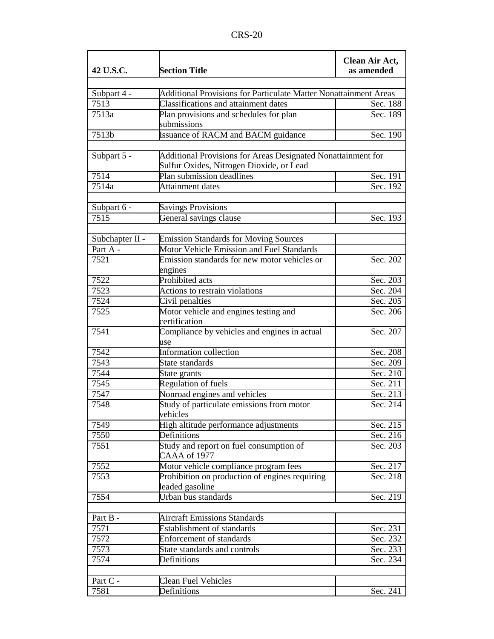| 42 U.S.C.           | Clean Air Act,<br>as amended                                                                             |          |
|---------------------|----------------------------------------------------------------------------------------------------------|----------|
|                     |                                                                                                          |          |
| Subpart 4 -<br>7513 | Additional Provisions for Particulate Matter Nonattainment Areas<br>Classifications and attainment dates | Sec. 188 |
| 7513a               |                                                                                                          | Sec. 189 |
|                     | Plan provisions and schedules for plan<br>submissions                                                    |          |
| 7513b               | <b>Issuance of RACM and BACM guidance</b>                                                                | Sec. 190 |
|                     |                                                                                                          |          |
| Subpart 5 -         | Additional Provisions for Areas Designated Nonattainment for<br>Sulfur Oxides, Nitrogen Dioxide, or Lead |          |
| 7514                | Plan submission deadlines                                                                                | Sec. 191 |
| 7514a               | <b>Attainment</b> dates                                                                                  | Sec. 192 |
|                     |                                                                                                          |          |
| Subpart 6 -         | <b>Savings Provisions</b>                                                                                |          |
| 7515                | General savings clause                                                                                   | Sec. 193 |
|                     |                                                                                                          |          |
| Subchapter II -     | <b>Emission Standards for Moving Sources</b>                                                             |          |
| Part A -            | Motor Vehicle Emission and Fuel Standards                                                                |          |
| 7521                | Emission standards for new motor vehicles or                                                             | Sec. 202 |
|                     | engines                                                                                                  |          |
| 7522                | <b>Prohibited</b> acts                                                                                   | Sec. 203 |
| 7523                | Actions to restrain violations                                                                           | Sec. 204 |
| 7524                | Civil penalties                                                                                          | Sec. 205 |
| 7525                | Motor vehicle and engines testing and<br>certification                                                   | Sec. 206 |
| 7541                | Compliance by vehicles and engines in actual<br>use                                                      | Sec. 207 |
| 7542                | Information collection                                                                                   | Sec. 208 |
| 7543                | State standards                                                                                          | Sec. 209 |
| 7544                | State grants                                                                                             | Sec. 210 |
| 7545                | <b>Regulation of fuels</b>                                                                               | Sec. 211 |
| 7547                | Nonroad engines and vehicles                                                                             | Sec. 213 |
| 7548                | Study of particulate emissions from motor<br>vehicles                                                    | Sec. 214 |
| 7549                | High altitude performance adjustments                                                                    | Sec. 215 |
| 7550                | Definitions                                                                                              | Sec. 216 |
| 7551                | Study and report on fuel consumption of<br>CAAA of 1977                                                  | Sec. 203 |
| 7552                | Motor vehicle compliance program fees                                                                    | Sec. 217 |
| 7553                | Prohibition on production of engines requiring<br>leaded gasoline                                        | Sec. 218 |
| 7554                | Urban bus standards                                                                                      | Sec. 219 |
|                     |                                                                                                          |          |
| Part B -            | <b>Aircraft Emissions Standards</b>                                                                      |          |
| 7571                | <b>Establishment of standards</b>                                                                        | Sec. 231 |
| 7572                | <b>Enforcement of standards</b>                                                                          | Sec. 232 |
| 7573                | State standards and controls                                                                             | Sec. 233 |
| 7574                | Definitions                                                                                              | Sec. 234 |
|                     |                                                                                                          |          |
| Part C -            | <b>Clean Fuel Vehicles</b>                                                                               |          |
| 7581                | Definitions                                                                                              | Sec. 241 |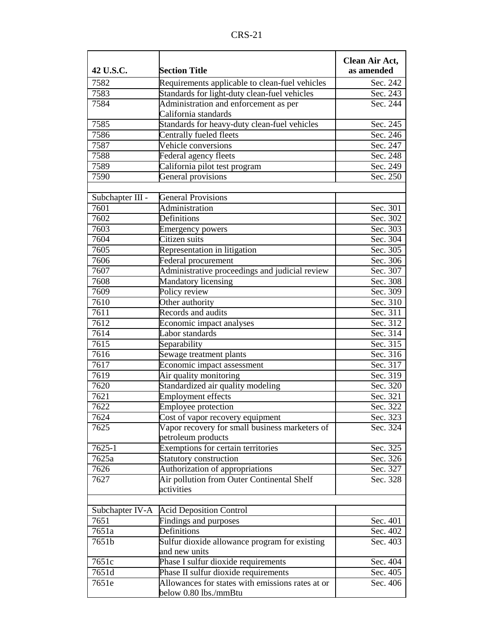| 42 U.S.C.        | <b>Section Title</b>                                                                           | Clean Air Act,<br>as amended |
|------------------|------------------------------------------------------------------------------------------------|------------------------------|
| 7582             |                                                                                                |                              |
| 7583             | Requirements applicable to clean-fuel vehicles<br>Standards for light-duty clean-fuel vehicles | Sec. 242<br>Sec. 243         |
| 7584             | Administration and enforcement as per                                                          | Sec. 244                     |
|                  | California standards                                                                           |                              |
| 7585             | Standards for heavy-duty clean-fuel vehicles                                                   | Sec. 245                     |
| 7586             | Centrally fueled fleets                                                                        | Sec. 246                     |
| 7587             | Vehicle conversions                                                                            | Sec. 247                     |
| 7588             | Federal agency fleets                                                                          | Sec. 248                     |
| 7589             | California pilot test program                                                                  | Sec. 249                     |
| 7590             | General provisions                                                                             | Sec. 250                     |
|                  |                                                                                                |                              |
| Subchapter III - | <b>General Provisions</b>                                                                      |                              |
| 7601             | Administration                                                                                 | Sec. 301                     |
| 7602             | Definitions                                                                                    | Sec. 302                     |
| 7603             | <b>Emergency powers</b>                                                                        | Sec. 303                     |
| 7604             | Citizen suits                                                                                  | Sec. 304                     |
| 7605             | Representation in litigation                                                                   | Sec. 305                     |
| 7606             | Federal procurement                                                                            | Sec. 306                     |
| 7607             | Administrative proceedings and judicial review                                                 | Sec. 307                     |
| 7608             | <b>Mandatory licensing</b>                                                                     | Sec. 308                     |
| 7609             | Policy review                                                                                  | Sec. 309                     |
| 7610             | Other authority                                                                                | Sec. 310                     |
| 7611             | Records and audits                                                                             | Sec. 311                     |
| 7612             | Economic impact analyses                                                                       | Sec. 312                     |
| 7614             | Labor standards                                                                                | Sec. 314                     |
| 7615             | Separability                                                                                   | Sec. 315                     |
| 7616             | Sewage treatment plants                                                                        | Sec. 316                     |
| 7617             | Economic impact assessment                                                                     | Sec. 317                     |
| 7619             | Air quality monitoring                                                                         | Sec. 319                     |
| 7620             | Standardized air quality modeling                                                              | Sec. 320                     |
| 7621             | <b>Employment effects</b>                                                                      | Sec. 321                     |
| 7622             | <b>Employee protection</b>                                                                     | Sec. 322                     |
| 7624             | Cost of vapor recovery equipment                                                               | Sec. 323                     |
| 7625             | Vapor recovery for small business marketers of                                                 | Sec. 324                     |
|                  | petroleum products                                                                             |                              |
| 7625-1           | Exemptions for certain territories                                                             | Sec. 325                     |
| 7625a            | Statutory construction                                                                         | Sec. 326                     |
| 7626             | Authorization of appropriations                                                                | Sec. 327                     |
| 7627             | Air pollution from Outer Continental Shelf<br>activities                                       | Sec. 328                     |
|                  |                                                                                                |                              |
| Subchapter IV-A  | <b>Acid Deposition Control</b>                                                                 |                              |
| 7651             | Findings and purposes                                                                          | Sec. 401                     |
| 7651a            | Definitions                                                                                    | Sec. 402                     |
| 7651b            | Sulfur dioxide allowance program for existing                                                  | Sec. 403                     |
|                  | and new units                                                                                  |                              |
| 7651c            | Phase I sulfur dioxide requirements                                                            | Sec. 404                     |
| 7651d            | Phase II sulfur dioxide requirements                                                           | Sec. 405                     |
| 7651e            | Allowances for states with emissions rates at or                                               | Sec. 406                     |
|                  | below 0.80 lbs./mmBtu                                                                          |                              |